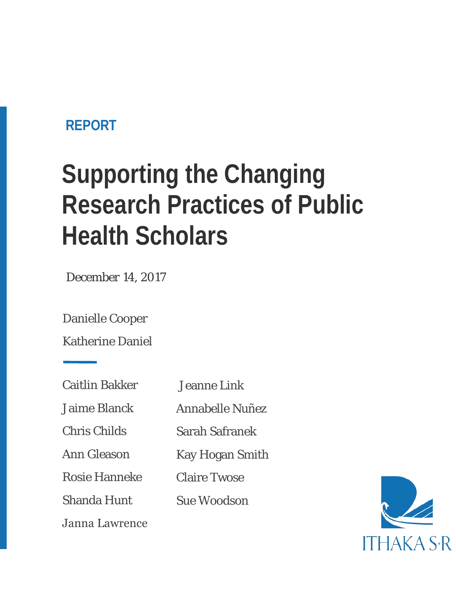### **REPORT**

# **Supporting the Changing Research Practices of Public Health Scholars**

*December 14, 2017*

Danielle Cooper

Katherine Daniel

Jaime Blanck

Chris Childs

Ann Gleason

Rosie Hanneke

Shanda Hunt

Annabelle Nuñez

Sarah Safranek

Jeanne Link

Kay Hogan Smith

Claire Twose

Sue Woodson

Janna Lawrence

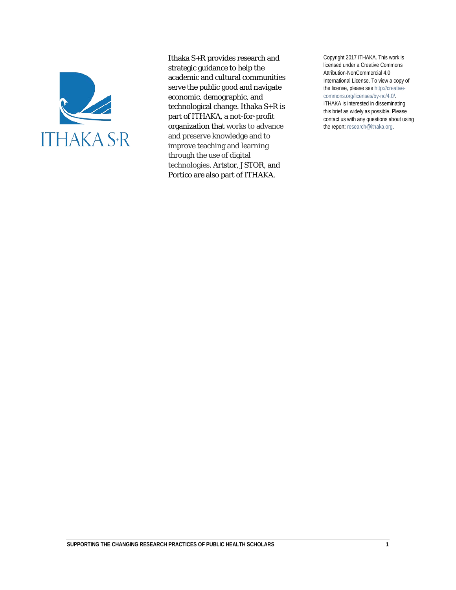

Ithaka S+R provides research and strategic guidance to help the academic and cultural communities serve the public good and navigate economic, demographic, and technological change. Ithaka S+R is part of ITHAKA, a not-for-profit organization that works to advance and preserve knowledge and to improve teaching and learning through the use of digital technologies. Artstor, JSTOR, and Portico are also part of ITHAKA.

Copyright 2017 ITHAKA. This work is licensed under a Creative Commons Attribution-NonCommercial 4.0 International License. To view a copy of the license, please see http://creativecommons.org/licenses/by-nc/4.0/. ITHAKA is interested in disseminating this brief as widely as possible. Please contact us with any questions about using the report: research@ithaka.org.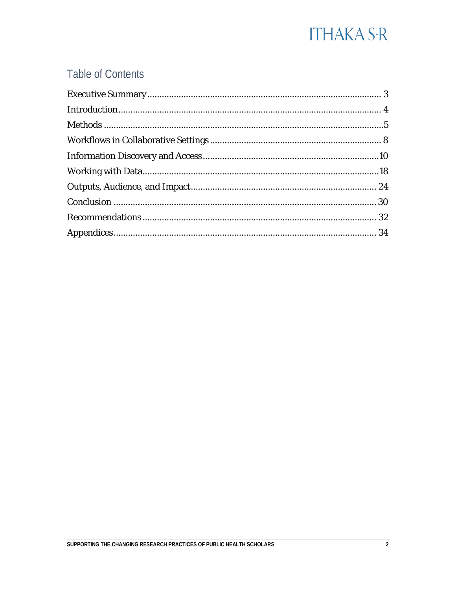#### **Table of Contents**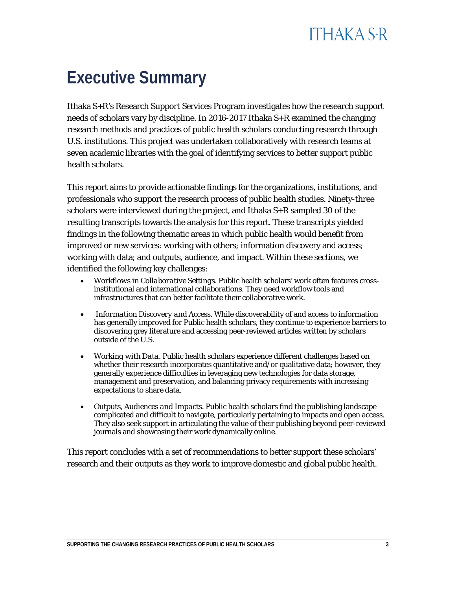## <span id="page-3-0"></span>**Executive Summary**

Ithaka S+R's Research Support Services Program investigates how the research support needs of scholars vary by discipline. In 2016-2017 Ithaka S+R examined the changing research methods and practices of public health scholars conducting research through U.S. institutions. This project was undertaken collaboratively with research teams at seven academic libraries with the goal of identifying services to better support public health scholars.

This report aims to provide actionable findings for the organizations, institutions, and professionals who support the research process of public health studies. Ninety-three scholars were interviewed during the project, and Ithaka S+R sampled 30 of the resulting transcripts towards the analysis for this report. These transcripts yielded findings in the following thematic areas in which public health would benefit from improved or new services: working with others; information discovery and access; working with data; and outputs, audience, and impact. Within these sections, we identified the following key challenges:

- *Workflows in Collaborative Settings.* Public health scholars' work often features crossinstitutional and international collaborations. They need workflow tools and infrastructures that can better facilitate their collaborative work.
- *Information Discovery and Access.* While discoverability of and access to information has generally improved for Public health scholars, they continue to experience barriers to discovering grey literature and accessing peer-reviewed articles written by scholars outside of the U.S.
- *Working with Data.* Public health scholars experience different challenges based on whether their research incorporates quantitative and/or qualitative data; however, they generally experience difficulties in leveraging new technologies for data storage, management and preservation, and balancing privacy requirements with increasing expectations to share data.
- *Outputs, Audiences and Impacts.* Public health scholars find the publishing landscape complicated and difficult to navigate, particularly pertaining to impacts and open access. They also seek support in articulating the value of their publishing beyond peer-reviewed journals and showcasing their work dynamically online.

This report concludes with a set of recommendations to better support these scholars' research and their outputs as they work to improve domestic and global public health.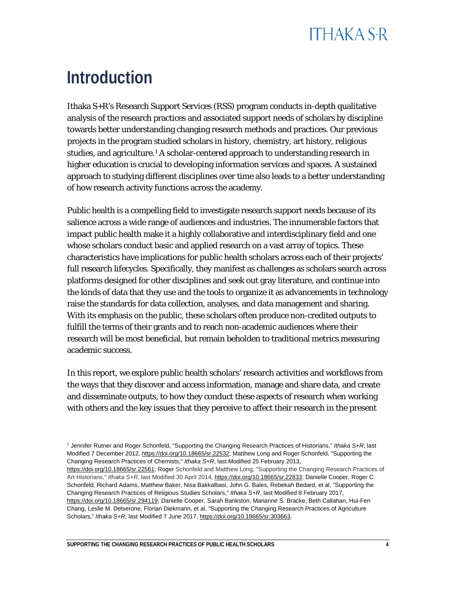## <span id="page-4-0"></span>**Introduction**

Ithaka S+R's Research Support Services (RSS) program conducts in-depth qualitative analysis of the research practices and associated support needs of scholars by discipline towards better understanding changing research methods and practices. Our previous projects in the program studied scholars in history, chemistry, art history, religious studies, and agriculture.[1](#page-4-1) A scholar-centered approach to understanding research in higher education is crucial to developing information services and spaces. A sustained approach to studying different disciplines over time also leads to a better understanding of how research activity functions across the academy.

Public health is a compelling field to investigate research support needs because of its salience across a wide range of audiences and industries. The innumerable factors that impact public health make it a highly collaborative and interdisciplinary field and one whose scholars conduct basic and applied research on a vast array of topics. These characteristics have implications for public health scholars across each of their projects' full research lifecycles. Specifically, they manifest as challenges as scholars search across platforms designed for other disciplines and seek out gray literature, and continue into the kinds of data that they use and the tools to organize it as advancements in technology raise the standards for data collection, analyses, and data management and sharing. With its emphasis on the public, these scholars often produce non-credited outputs to fulfill the terms of their grants and to reach non-academic audiences where their research will be most beneficial, but remain beholden to traditional metrics measuring academic success.

In this report, we explore public health scholars' research activities and workflows from the ways that they discover and access information, manage and share data, and create and disseminate outputs, to how they conduct these aspects of research when working with others and the key issues that they perceive to affect their research in the present

<span id="page-4-1"></span><sup>1</sup> Jennifer Rutner and Roger Schonfeld, "Supporting the Changing Research Practices of Historians," *Ithaka S+R*, last Modified 7 December 2012, [https://doi.org/10.18665/sr.22532;](https://doi.org/10.18665/sr.22532) Matthew Long and Roger Schonfeld, "Supporting the Changing Research Practices of Chemists," *Ithaka S+R*, last Modified 25 February 2013, [https://doi.org/10.18665/sr.22561;](https://doi.org/10.18665/sr.22561) Roger Schonfeld and Matthew Long, "Supporting the Changing Research Practices of Art Historians," Ithaka S+R, last Modified 30 April 2014, [https://doi.org/10.18665/sr.22833;](https://doi.org/10.18665/sr.22833) Danielle Cooper, Roger C. Schonfeld, Richard Adams, Matthew Baker, Nisa Bakkalbasi, John G. Bales, Rebekah Bedard, et al, "Supporting the Changing Research Practices of Religious Studies Scholars," *Ithaka S+R*, last Modified 8 February 2017, [https://doi.org/10.18665/sr.294119;](https://doi.org/10.18665/sr.294119) Danielle Cooper, Sarah Bankston, Marianne S. Bracke, Beth Callahan, Hui-Fen Chang, Leslie M. Delserone, Florian Diekmann, et al, "Supporting the Changing Research Practices of Agriculture Scholars," *Ithaka S+R*, last Modified 7 June 2017, [https://doi.org/10.18665/sr.303663.](https://doi.org/10.18665/sr.303663)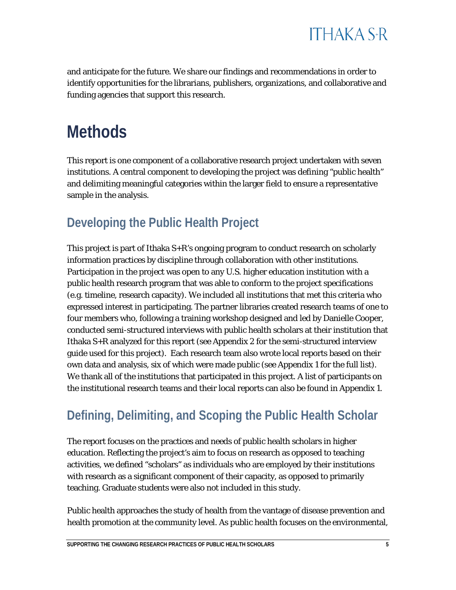

and anticipate for the future. We share our findings and recommendations in order to identify opportunities for the librarians, publishers, organizations, and collaborative and funding agencies that support this research.

### <span id="page-5-0"></span>**Methods**

This report is one component of a collaborative research project undertaken with seven institutions. A central component to developing the project was defining "public health" and delimiting meaningful categories within the larger field to ensure a representative sample in the analysis.

#### **Developing the Public Health Project**

This project is part of Ithaka S+R's ongoing program to conduct research on scholarly information practices by discipline through collaboration with other institutions. Participation in the project was open to any U.S. higher education institution with a public health research program that was able to conform to the project specifications (e.g. timeline, research capacity). We included all institutions that met this criteria who expressed interest in participating. The partner libraries created research teams of one to four members who, following a training workshop designed and led by Danielle Cooper, conducted semi-structured interviews with public health scholars at their institution that Ithaka S+R analyzed for this report (see Appendix 2 for the semi-structured interview guide used for this project). Each research team also wrote local reports based on their own data and analysis, six of which were made public (see Appendix 1 for the full list). We thank all of the institutions that participated in this project. A list of participants on the institutional research teams and their local reports can also be found in Appendix 1.

### **Defining, Delimiting, and Scoping the Public Health Scholar**

The report focuses on the practices and needs of public health scholars in higher education. Reflecting the project's aim to focus on research as opposed to teaching activities, we defined "scholars" as individuals who are employed by their institutions with research as a significant component of their capacity, as opposed to primarily teaching. Graduate students were also not included in this study.

Public health approaches the study of health from the vantage of disease prevention and health promotion at the community level. As public health focuses on the environmental,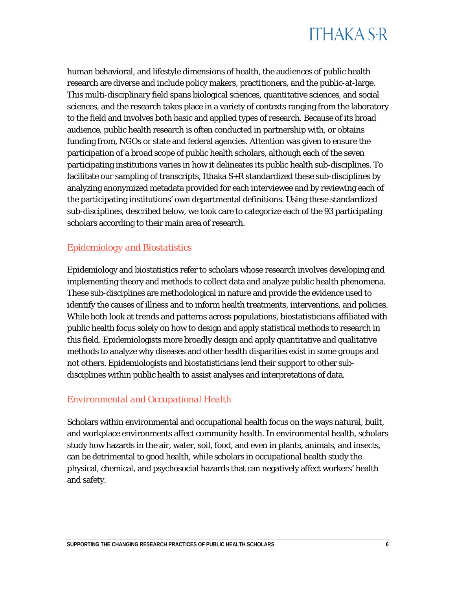human behavioral, and lifestyle dimensions of health, the audiences of public health research are diverse and include policy makers, practitioners, and the public-at-large. This multi-disciplinary field spans biological sciences, quantitative sciences, and social sciences, and the research takes place in a variety of contexts ranging from the laboratory to the field and involves both basic and applied types of research. Because of its broad audience, public health research is often conducted in partnership with, or obtains funding from, NGOs or state and federal agencies. Attention was given to ensure the participation of a broad scope of public health scholars, although each of the seven participating institutions varies in how it delineates its public health sub-disciplines. To facilitate our sampling of transcripts, Ithaka S+R standardized these sub-disciplines by analyzing anonymized metadata provided for each interviewee and by reviewing each of the participating institutions' own departmental definitions. Using these standardized sub-disciplines, described below, we took care to categorize each of the 93 participating scholars according to their main area of research.

#### *Epidemiology and Biostatistics*

Epidemiology and biostatistics refer to scholars whose research involves developing and implementing theory and methods to collect data and analyze public health phenomena. These sub-disciplines are methodological in nature and provide the evidence used to identify the causes of illness and to inform health treatments, interventions, and policies. While both look at trends and patterns across populations, biostatisticians affiliated with public health focus solely on how to design and apply statistical methods to research in this field. Epidemiologists more broadly design and apply quantitative and qualitative methods to analyze why diseases and other health disparities exist in some groups and not others. Epidemiologists and biostatisticians lend their support to other subdisciplines within public health to assist analyses and interpretations of data.

#### *Environmental and Occupational Health*

Scholars within environmental and occupational health focus on the ways natural, built, and workplace environments affect community health. In environmental health, scholars study how hazards in the air, water, soil, food, and even in plants, animals, and insects, can be detrimental to good health, while scholars in occupational health study the physical, chemical, and psychosocial hazards that can negatively affect workers' health and safety.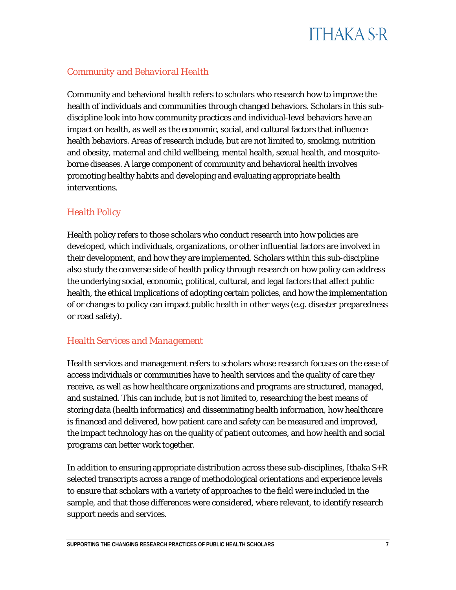

#### *Community and Behavioral Health*

Community and behavioral health refers to scholars who research how to improve the health of individuals and communities through changed behaviors. Scholars in this subdiscipline look into how community practices and individual-level behaviors have an impact on health, as well as the economic, social, and cultural factors that influence health behaviors. Areas of research include, but are not limited to, smoking, nutrition and obesity, maternal and child wellbeing, mental health, sexual health, and mosquitoborne diseases. A large component of community and behavioral health involves promoting healthy habits and developing and evaluating appropriate health interventions.

#### *Health Policy*

Health policy refers to those scholars who conduct research into how policies are developed, which individuals, organizations, or other influential factors are involved in their development, and how they are implemented. Scholars within this sub-discipline also study the converse side of health policy through research on how policy can address the underlying social, economic, political, cultural, and legal factors that affect public health, the ethical implications of adopting certain policies, and how the implementation of or changes to policy can impact public health in other ways (e.g. disaster preparedness or road safety).

#### *Health Services and Management*

Health services and management refers to scholars whose research focuses on the ease of access individuals or communities have to health services and the quality of care they receive, as well as how healthcare organizations and programs are structured, managed, and sustained. This can include, but is not limited to, researching the best means of storing data (health informatics) and disseminating health information, how healthcare is financed and delivered, how patient care and safety can be measured and improved, the impact technology has on the quality of patient outcomes, and how health and social programs can better work together.

In addition to ensuring appropriate distribution across these sub-disciplines, Ithaka  $S+R$ selected transcripts across a range of methodological orientations and experience levels to ensure that scholars with a variety of approaches to the field were included in the sample, and that those differences were considered, where relevant, to identify research support needs and services.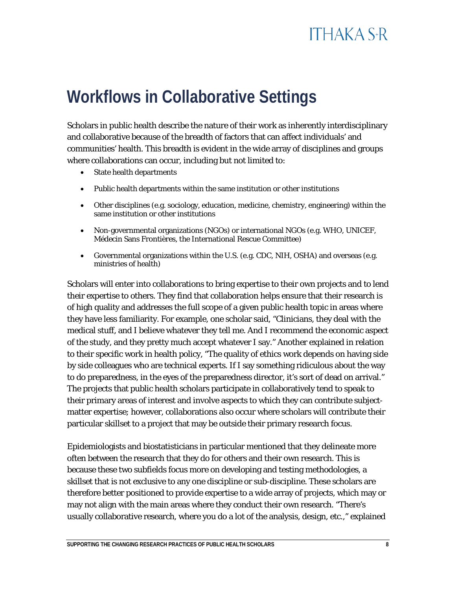## <span id="page-8-0"></span>**Workflows in Collaborative Settings**

Scholars in public health describe the nature of their work as inherently interdisciplinary and collaborative because of the breadth of factors that can affect individuals' and communities' health. This breadth is evident in the wide array of disciplines and groups where collaborations can occur, including but not limited to:

- State health departments
- Public health departments within the same institution or other institutions
- Other disciplines (e.g. sociology, education, medicine, chemistry, engineering) within the same institution or other institutions
- Non-governmental organizations (NGOs) or international NGOs (e.g. WHO, UNICEF, Médecin Sans Frontières, the International Rescue Committee)
- Governmental organizations within the U.S. (e.g. CDC, NIH, OSHA) and overseas (e.g. ministries of health)

Scholars will enter into collaborations to bring expertise to their own projects and to lend their expertise to others. They find that collaboration helps ensure that their research is of high quality and addresses the full scope of a given public health topic in areas where they have less familiarity. For example, one scholar said, "Clinicians, they deal with the medical stuff, and I believe whatever they tell me. And I recommend the economic aspect of the study, and they pretty much accept whatever I say." Another explained in relation to their specific work in health policy, "The quality of ethics work depends on having side by side colleagues who are technical experts. If I say something ridiculous about the way to do preparedness, in the eyes of the preparedness director, it's sort of dead on arrival." The projects that public health scholars participate in collaboratively tend to speak to their primary areas of interest and involve aspects to which they can contribute subjectmatter expertise; however, collaborations also occur where scholars will contribute their particular skillset to a project that may be outside their primary research focus.

Epidemiologists and biostatisticians in particular mentioned that they delineate more often between the research that they do for others and their own research. This is because these two subfields focus more on developing and testing methodologies, a skillset that is not exclusive to any one discipline or sub-discipline. These scholars are therefore better positioned to provide expertise to a wide array of projects, which may or may not align with the main areas where they conduct their own research. "There's usually collaborative research, where you do a lot of the analysis, design, etc.," explained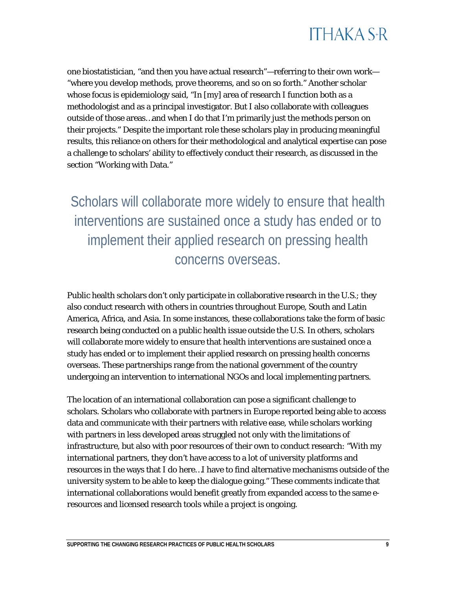

one biostatistician, "and then you have actual research"—referring to their own work— "where you develop methods, prove theorems, and so on so forth." Another scholar whose focus is epidemiology said, "In [my] area of research I function both as a methodologist and as a principal investigator. But I also collaborate with colleagues outside of those areas…and when I do that I'm primarily just the methods person on their projects." Despite the important role these scholars play in producing meaningful results, this reliance on others for their methodological and analytical expertise can pose a challenge to scholars' ability to effectively conduct their research, as discussed in the section "Working with Data."

Scholars will collaborate more widely to ensure that health interventions are sustained once a study has ended or to implement their applied research on pressing health concerns overseas.

Public health scholars don't only participate in collaborative research in the U.S.; they also conduct research with others in countries throughout Europe, South and Latin America, Africa, and Asia. In some instances, these collaborations take the form of basic research being conducted on a public health issue outside the U.S. In others, scholars will collaborate more widely to ensure that health interventions are sustained once a study has ended or to implement their applied research on pressing health concerns overseas. These partnerships range from the national government of the country undergoing an intervention to international NGOs and local implementing partners.

The location of an international collaboration can pose a significant challenge to scholars. Scholars who collaborate with partners in Europe reported being able to access data and communicate with their partners with relative ease, while scholars working with partners in less developed areas struggled not only with the limitations of infrastructure, but also with poor resources of their own to conduct research: "With my international partners, they don't have access to a lot of university platforms and resources in the ways that I do here…I have to find alternative mechanisms outside of the university system to be able to keep the dialogue going." These comments indicate that international collaborations would benefit greatly from expanded access to the same eresources and licensed research tools while a project is ongoing.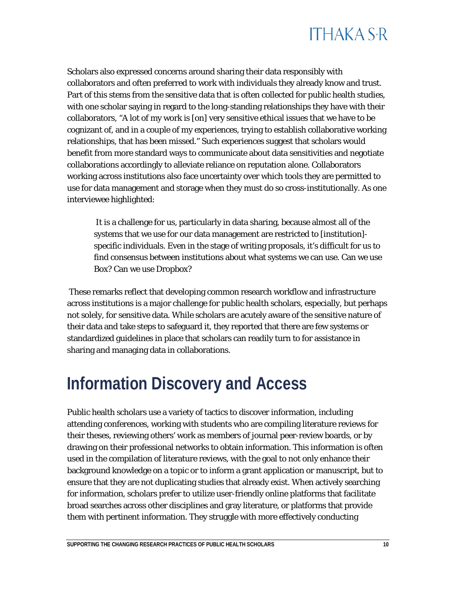## **ITHAKA S+R**

Scholars also expressed concerns around sharing their data responsibly with collaborators and often preferred to work with individuals they already know and trust. Part of this stems from the sensitive data that is often collected for public health studies, with one scholar saying in regard to the long-standing relationships they have with their collaborators, "A lot of my work is [on] very sensitive ethical issues that we have to be cognizant of, and in a couple of my experiences, trying to establish collaborative working relationships, that has been missed." Such experiences suggest that scholars would benefit from more standard ways to communicate about data sensitivities and negotiate collaborations accordingly to alleviate reliance on reputation alone. Collaborators working across institutions also face uncertainty over which tools they are permitted to use for data management and storage when they must do so cross-institutionally. As one interviewee highlighted:

It is a challenge for us, particularly in data sharing, because almost all of the systems that we use for our data management are restricted to [institution] specific individuals. Even in the stage of writing proposals, it's difficult for us to find consensus between institutions about what systems we can use. Can we use Box? Can we use Dropbox?

These remarks reflect that developing common research workflow and infrastructure across institutions is a major challenge for public health scholars, especially, but perhaps not solely, for sensitive data. While scholars are acutely aware of the sensitive nature of their data and take steps to safeguard it, they reported that there are few systems or standardized guidelines in place that scholars can readily turn to for assistance in sharing and managing data in collaborations.

## <span id="page-10-0"></span>**Information Discovery and Access**

Public health scholars use a variety of tactics to discover information, including attending conferences, working with students who are compiling literature reviews for their theses, reviewing others' work as members of journal peer-review boards, or by drawing on their professional networks to obtain information. This information is often used in the compilation of literature reviews, with the goal to not only enhance their background knowledge on a topic or to inform a grant application or manuscript, but to ensure that they are not duplicating studies that already exist. When actively searching for information, scholars prefer to utilize user-friendly online platforms that facilitate broad searches across other disciplines and gray literature, or platforms that provide them with pertinent information. They struggle with more effectively conducting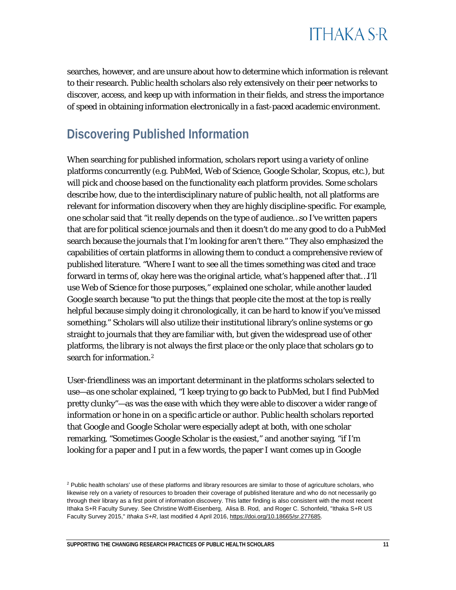

searches, however, and are unsure about how to determine which information is relevant to their research. Public health scholars also rely extensively on their peer networks to discover, access, and keep up with information in their fields, and stress the importance of speed in obtaining information electronically in a fast-paced academic environment.

#### **Discovering Published Information**

When searching for published information, scholars report using a variety of online platforms concurrently (e.g. PubMed, Web of Science, Google Scholar, Scopus, etc.), but will pick and choose based on the functionality each platform provides. Some scholars describe how, due to the interdisciplinary nature of public health, not all platforms are relevant for information discovery when they are highly discipline-specific. For example, one scholar said that "it really depends on the type of audience…so I've written papers that are for political science journals and then it doesn't do me any good to do a PubMed search because the journals that I'm looking for aren't there." They also emphasized the capabilities of certain platforms in allowing them to conduct a comprehensive review of published literature. "Where I want to see all the times something was cited and trace forward in terms of, okay here was the original article, what's happened after that…I'll use Web of Science for those purposes," explained one scholar, while another lauded Google search because "to put the things that people cite the most at the top is really helpful because simply doing it chronologically, it can be hard to know if you've missed something." Scholars will also utilize their institutional library's online systems or go straight to journals that they are familiar with, but given the widespread use of other platforms, the library is not always the first place or the only place that scholars go to search for information.[2](#page-11-0)

User-friendliness was an important determinant in the platforms scholars selected to use—as one scholar explained, "I keep trying to go back to PubMed, but I find PubMed pretty clunky"—as was the ease with which they were able to discover a wider range of information or hone in on a specific article or author. Public health scholars reported that Google and Google Scholar were especially adept at both, with one scholar remarking, "Sometimes Google Scholar is the easiest," and another saying, "if I'm looking for a paper and I put in a few words, the paper I want comes up in Google

<span id="page-11-0"></span><sup>&</sup>lt;sup>2</sup> Public health scholars' use of these platforms and library resources are similar to those of agriculture scholars, who likewise rely on a variety of resources to broaden their coverage of published literature and who do not necessarily go through their library as a first point of information discovery. This latter finding is also consistent with the most recent Ithaka S+R Faculty Survey. See Christine Wolff-Eisenberg, Alisa B. Rod, and Roger C. Schonfeld, "Ithaka S+R US Faculty Survey 2015," *Ithaka S+R*, last modified 4 April 2016[, https://doi.org/10.18665/sr.277685.](https://doi.org/10.18665/sr.277685)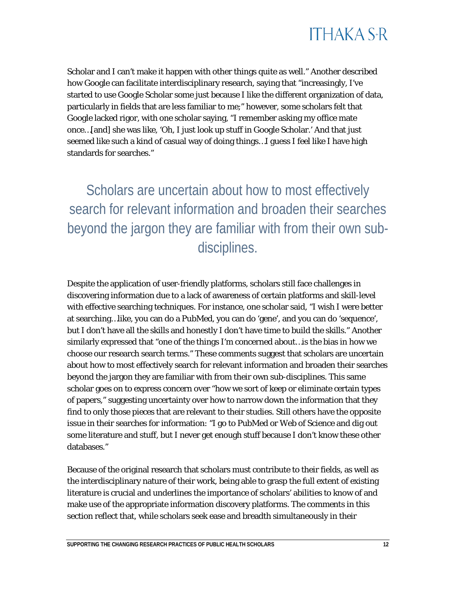

Scholar and I can't make it happen with other things quite as well." Another described how Google can facilitate interdisciplinary research, saying that "increasingly, I've started to use Google Scholar some just because I like the different organization of data, particularly in fields that are less familiar to me;" however, some scholars felt that Google lacked rigor, with one scholar saying, "I remember asking my office mate once…[and] she was like, 'Oh, I just look up stuff in Google Scholar.' And that just seemed like such a kind of casual way of doing things…I guess I feel like I have high standards for searches."

Scholars are uncertain about how to most effectively search for relevant information and broaden their searches beyond the jargon they are familiar with from their own subdisciplines.

Despite the application of user-friendly platforms, scholars still face challenges in discovering information due to a lack of awareness of certain platforms and skill-level with effective searching techniques. For instance, one scholar said, "I wish I were better at searching…like, you can do a PubMed, you can do 'gene', and you can do 'sequence', but I don't have all the skills and honestly I don't have time to build the skills." Another similarly expressed that "one of the things I'm concerned about…is the bias in how we choose our research search terms." These comments suggest that scholars are uncertain about how to most effectively search for relevant information and broaden their searches beyond the jargon they are familiar with from their own sub-disciplines. This same scholar goes on to express concern over "how we sort of keep or eliminate certain types of papers," suggesting uncertainty over how to narrow down the information that they find to only those pieces that are relevant to their studies. Still others have the opposite issue in their searches for information: "I go to PubMed or Web of Science and dig out some literature and stuff, but I never get enough stuff because I don't know these other databases."

Because of the original research that scholars must contribute to their fields, as well as the interdisciplinary nature of their work, being able to grasp the full extent of existing literature is crucial and underlines the importance of scholars' abilities to know of and make use of the appropriate information discovery platforms. The comments in this section reflect that, while scholars seek ease and breadth simultaneously in their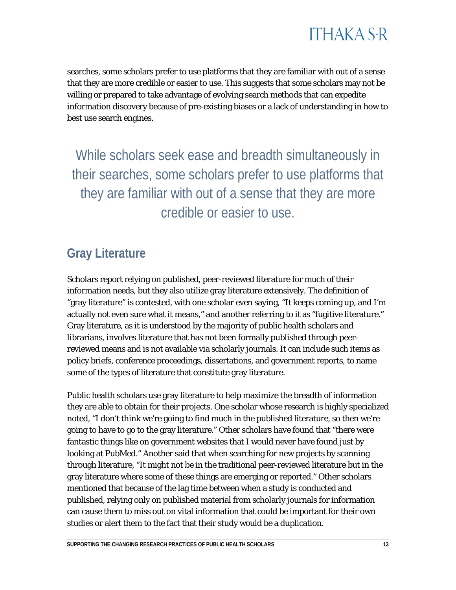

searches, some scholars prefer to use platforms that they are familiar with out of a sense that they are more credible or easier to use. This suggests that some scholars may not be willing or prepared to take advantage of evolving search methods that can expedite information discovery because of pre-existing biases or a lack of understanding in how to best use search engines.

While scholars seek ease and breadth simultaneously in their searches, some scholars prefer to use platforms that they are familiar with out of a sense that they are more credible or easier to use.

#### **Gray Literature**

Scholars report relying on published, peer-reviewed literature for much of their information needs, but they also utilize gray literature extensively. The definition of "gray literature" is contested, with one scholar even saying, "It keeps coming up, and I'm actually not even sure what it means," and another referring to it as "fugitive literature." Gray literature, as it is understood by the majority of public health scholars and librarians, involves literature that has not been formally published through peerreviewed means and is not available via scholarly journals. It can include such items as policy briefs, conference proceedings, dissertations, and government reports, to name some of the types of literature that constitute gray literature.

Public health scholars use gray literature to help maximize the breadth of information they are able to obtain for their projects. One scholar whose research is highly specialized noted, "I don't think we're going to find much in the published literature, so then we're going to have to go to the gray literature." Other scholars have found that "there were fantastic things like on government websites that I would never have found just by looking at PubMed." Another said that when searching for new projects by scanning through literature, "It might not be in the traditional peer-reviewed literature but in the gray literature where some of these things are emerging or reported." Other scholars mentioned that because of the lag time between when a study is conducted and published, relying only on published material from scholarly journals for information can cause them to miss out on vital information that could be important for their own studies or alert them to the fact that their study would be a duplication.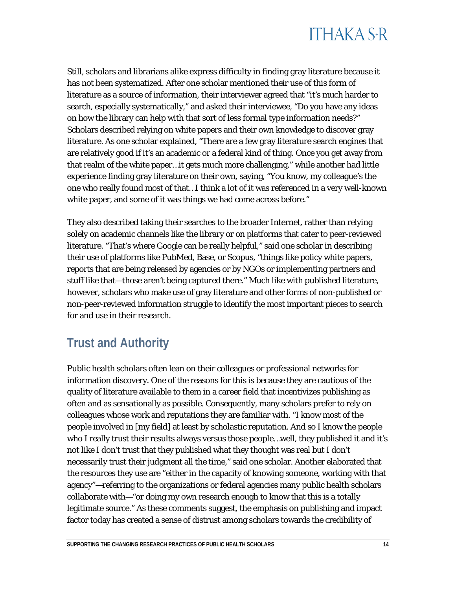Still, scholars and librarians alike express difficulty in finding gray literature because it has not been systematized. After one scholar mentioned their use of this form of literature as a source of information, their interviewer agreed that "it's much harder to search, especially systematically," and asked their interviewee, "Do you have any ideas on how the library can help with that sort of less formal type information needs?" Scholars described relying on white papers and their own knowledge to discover gray literature. As one scholar explained, "There are a few gray literature search engines that are relatively good if it's an academic or a federal kind of thing. Once you get away from that realm of the white paper…it gets much more challenging," while another had little experience finding gray literature on their own, saying, "You know, my colleague's the one who really found most of that…I think a lot of it was referenced in a very well-known white paper, and some of it was things we had come across before."

They also described taking their searches to the broader Internet, rather than relying solely on academic channels like the library or on platforms that cater to peer-reviewed literature. "That's where Google can be really helpful," said one scholar in describing their use of platforms like PubMed, Base, or Scopus, "things like policy white papers, reports that are being released by agencies or by NGOs or implementing partners and stuff like that—those aren't being captured there." Much like with published literature, however, scholars who make use of gray literature and other forms of non-published or non-peer-reviewed information struggle to identify the most important pieces to search for and use in their research.

### **Trust and Authority**

Public health scholars often lean on their colleagues or professional networks for information discovery. One of the reasons for this is because they are cautious of the quality of literature available to them in a career field that incentivizes publishing as often and as sensationally as possible. Consequently, many scholars prefer to rely on colleagues whose work and reputations they are familiar with. "I know most of the people involved in [my field] at least by scholastic reputation. And so I know the people who I really trust their results always versus those people…well, they published it and it's not like I don't trust that they published what they thought was real but I don't necessarily trust their judgment all the time," said one scholar. Another elaborated that the resources they use are "either in the capacity of knowing someone, working with that agency"—referring to the organizations or federal agencies many public health scholars collaborate with—"or doing my own research enough to know that this is a totally legitimate source." As these comments suggest, the emphasis on publishing and impact factor today has created a sense of distrust among scholars towards the credibility of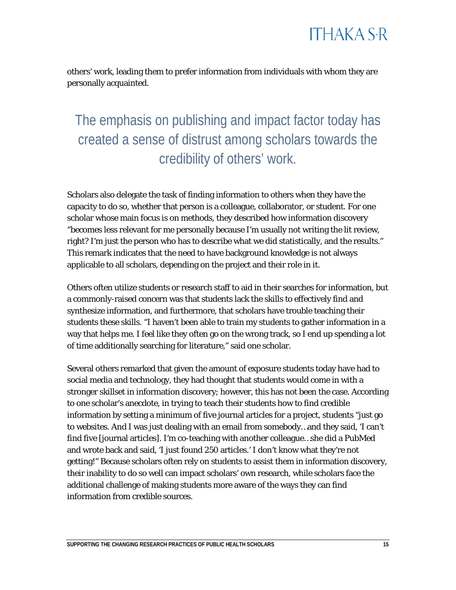others' work, leading them to prefer information from individuals with whom they are personally acquainted.

The emphasis on publishing and impact factor today has created a sense of distrust among scholars towards the credibility of others' work.

Scholars also delegate the task of finding information to others when they have the capacity to do so, whether that person is a colleague, collaborator, or student. For one scholar whose main focus is on methods, they described how information discovery "becomes less relevant for me personally because I'm usually not writing the lit review, right? I'm just the person who has to describe what we did statistically, and the results." This remark indicates that the need to have background knowledge is not always applicable to all scholars, depending on the project and their role in it.

Others often utilize students or research staff to aid in their searches for information, but a commonly-raised concern was that students lack the skills to effectively find and synthesize information, and furthermore, that scholars have trouble teaching their students these skills. "I haven't been able to train my students to gather information in a way that helps me. I feel like they often go on the wrong track, so I end up spending a lot of time additionally searching for literature," said one scholar.

Several others remarked that given the amount of exposure students today have had to social media and technology, they had thought that students would come in with a stronger skillset in information discovery; however, this has not been the case. According to one scholar's anecdote, in trying to teach their students how to find credible information by setting a minimum of five journal articles for a project, students "just go to websites. And I was just dealing with an email from somebody…and they said, 'I can't find five [journal articles]. I'm co-teaching with another colleague…she did a PubMed and wrote back and said, 'I just found 250 articles.' I don't know what they're not getting!" Because scholars often rely on students to assist them in information discovery, their inability to do so well can impact scholars' own research, while scholars face the additional challenge of making students more aware of the ways they can find information from credible sources.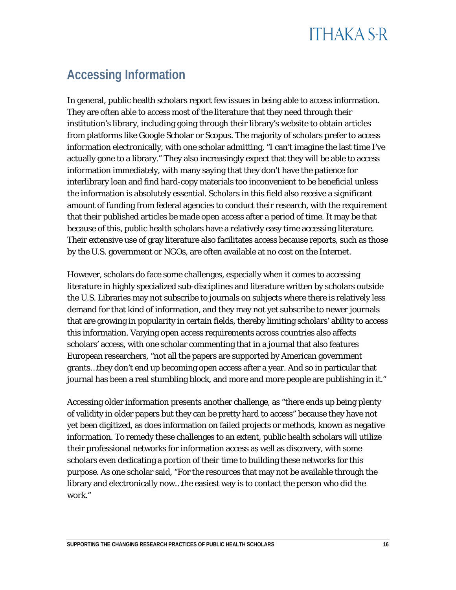### **Accessing Information**

In general, public health scholars report few issues in being able to access information. They are often able to access most of the literature that they need through their institution's library, including going through their library's website to obtain articles from platforms like Google Scholar or Scopus. The majority of scholars prefer to access information electronically, with one scholar admitting, "I can't imagine the last time I've actually gone to a library." They also increasingly expect that they will be able to access information immediately, with many saying that they don't have the patience for interlibrary loan and find hard-copy materials too inconvenient to be beneficial unless the information is absolutely essential. Scholars in this field also receive a significant amount of funding from federal agencies to conduct their research, with the requirement that their published articles be made open access after a period of time. It may be that because of this, public health scholars have a relatively easy time accessing literature. Their extensive use of gray literature also facilitates access because reports, such as those by the U.S. government or NGOs, are often available at no cost on the Internet.

However, scholars do face some challenges, especially when it comes to accessing literature in highly specialized sub-disciplines and literature written by scholars outside the U.S. Libraries may not subscribe to journals on subjects where there is relatively less demand for that kind of information, and they may not yet subscribe to newer journals that are growing in popularity in certain fields, thereby limiting scholars' ability to access this information. Varying open access requirements across countries also affects scholars' access, with one scholar commenting that in a journal that also features European researchers, "not all the papers are supported by American government grants…they don't end up becoming open access after a year. And so in particular that journal has been a real stumbling block, and more and more people are publishing in it."

Accessing older information presents another challenge, as "there ends up being plenty of validity in older papers but they can be pretty hard to access" because they have not yet been digitized, as does information on failed projects or methods, known as negative information. To remedy these challenges to an extent, public health scholars will utilize their professional networks for information access as well as discovery, with some scholars even dedicating a portion of their time to building these networks for this purpose. As one scholar said, "For the resources that may not be available through the library and electronically now…the easiest way is to contact the person who did the work."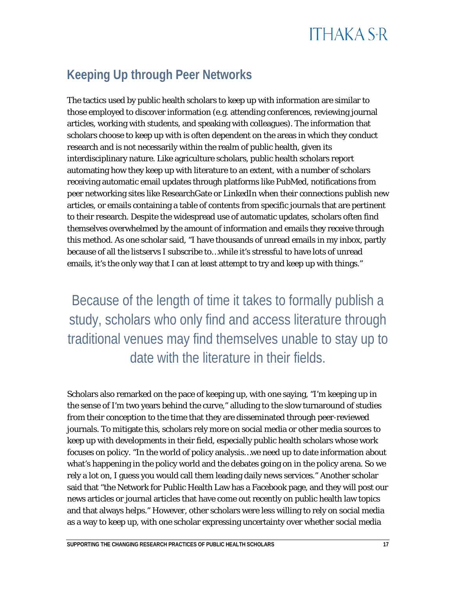### **Keeping Up through Peer Networks**

The tactics used by public health scholars to keep up with information are similar to those employed to discover information (e.g. attending conferences, reviewing journal articles, working with students, and speaking with colleagues). The information that scholars choose to keep up with is often dependent on the areas in which they conduct research and is not necessarily within the realm of public health, given its interdisciplinary nature. Like agriculture scholars, public health scholars report automating how they keep up with literature to an extent, with a number of scholars receiving automatic email updates through platforms like PubMed, notifications from peer networking sites like ResearchGate or LinkedIn when their connections publish new articles, or emails containing a table of contents from specific journals that are pertinent to their research. Despite the widespread use of automatic updates, scholars often find themselves overwhelmed by the amount of information and emails they receive through this method. As one scholar said, "I have thousands of unread emails in my inbox, partly because of all the listservs I subscribe to…while it's stressful to have lots of unread emails, it's the only way that I can at least attempt to try and keep up with things."

Because of the length of time it takes to formally publish a study, scholars who only find and access literature through traditional venues may find themselves unable to stay up to date with the literature in their fields.

Scholars also remarked on the pace of keeping up, with one saying, "I'm keeping up in the sense of I'm two years behind the curve," alluding to the slow turnaround of studies from their conception to the time that they are disseminated through peer-reviewed journals. To mitigate this, scholars rely more on social media or other media sources to keep up with developments in their field, especially public health scholars whose work focuses on policy. "In the world of policy analysis…we need up to date information about what's happening in the policy world and the debates going on in the policy arena. So we rely a lot on, I guess you would call them leading daily news services." Another scholar said that "the Network for Public Health Law has a Facebook page, and they will post our news articles or journal articles that have come out recently on public health law topics and that always helps." However, other scholars were less willing to rely on social media as a way to keep up, with one scholar expressing uncertainty over whether social media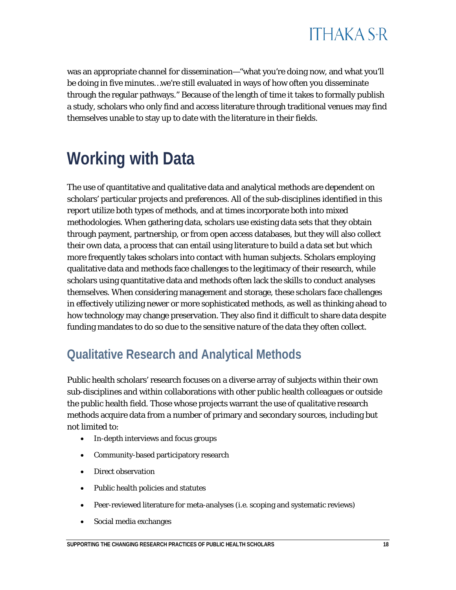

was an appropriate channel for dissemination—"what you're doing now, and what you'll be doing in five minutes…we're still evaluated in ways of how often you disseminate through the regular pathways." Because of the length of time it takes to formally publish a study, scholars who only find and access literature through traditional venues may find themselves unable to stay up to date with the literature in their fields.

## <span id="page-18-0"></span>**Working with Data**

The use of quantitative and qualitative data and analytical methods are dependent on scholars' particular projects and preferences. All of the sub-disciplines identified in this report utilize both types of methods, and at times incorporate both into mixed methodologies. When gathering data, scholars use existing data sets that they obtain through payment, partnership, or from open access databases, but they will also collect their own data, a process that can entail using literature to build a data set but which more frequently takes scholars into contact with human subjects. Scholars employing qualitative data and methods face challenges to the legitimacy of their research, while scholars using quantitative data and methods often lack the skills to conduct analyses themselves. When considering management and storage, these scholars face challenges in effectively utilizing newer or more sophisticated methods, as well as thinking ahead to how technology may change preservation. They also find it difficult to share data despite funding mandates to do so due to the sensitive nature of the data they often collect.

#### **Qualitative Research and Analytical Methods**

Public health scholars' research focuses on a diverse array of subjects within their own sub-disciplines and within collaborations with other public health colleagues or outside the public health field. Those whose projects warrant the use of qualitative research methods acquire data from a number of primary and secondary sources, including but not limited to:

- In-depth interviews and focus groups
- Community-based participatory research
- Direct observation
- Public health policies and statutes
- Peer-reviewed literature for meta-analyses (i.e. scoping and systematic reviews)
- Social media exchanges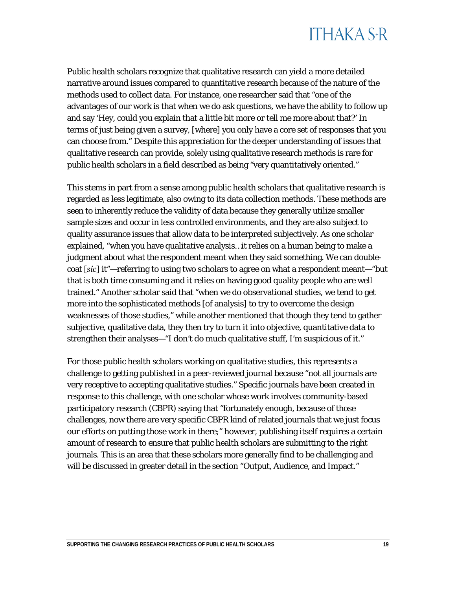Public health scholars recognize that qualitative research can yield a more detailed narrative around issues compared to quantitative research because of the nature of the methods used to collect data. For instance, one researcher said that "one of the advantages of our work is that when we do ask questions, we have the ability to follow up and say 'Hey, could you explain that a little bit more or tell me more about that?' In terms of just being given a survey, [where] you only have a core set of responses that you can choose from." Despite this appreciation for the deeper understanding of issues that qualitative research can provide, solely using qualitative research methods is rare for public health scholars in a field described as being "very quantitatively oriented."

This stems in part from a sense among public health scholars that qualitative research is regarded as less legitimate, also owing to its data collection methods. These methods are seen to inherently reduce the validity of data because they generally utilize smaller sample sizes and occur in less controlled environments, and they are also subject to quality assurance issues that allow data to be interpreted subjectively. As one scholar explained, "when you have qualitative analysis…it relies on a human being to make a judgment about what the respondent meant when they said something. We can doublecoat [*sic*] it"—referring to using two scholars to agree on what a respondent meant—"but that is both time consuming and it relies on having good quality people who are well trained." Another scholar said that "when we do observational studies, we tend to get more into the sophisticated methods [of analysis] to try to overcome the design weaknesses of those studies," while another mentioned that though they tend to gather subjective, qualitative data, they then try to turn it into objective, quantitative data to strengthen their analyses—"I don't do much qualitative stuff, I'm suspicious of it."

For those public health scholars working on qualitative studies, this represents a challenge to getting published in a peer-reviewed journal because "not all journals are very receptive to accepting qualitative studies." Specific journals have been created in response to this challenge, with one scholar whose work involves community-based participatory research (CBPR) saying that "fortunately enough, because of those challenges, now there are very specific CBPR kind of related journals that we just focus our efforts on putting those work in there;" however, publishing itself requires a certain amount of research to ensure that public health scholars are submitting to the right journals. This is an area that these scholars more generally find to be challenging and will be discussed in greater detail in the section "Output, Audience, and Impact."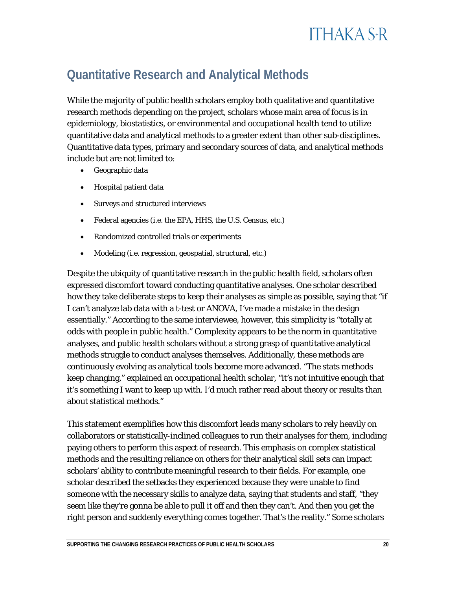#### **Quantitative Research and Analytical Methods**

While the majority of public health scholars employ both qualitative and quantitative research methods depending on the project, scholars whose main area of focus is in epidemiology, biostatistics, or environmental and occupational health tend to utilize quantitative data and analytical methods to a greater extent than other sub-disciplines. Quantitative data types, primary and secondary sources of data, and analytical methods include but are not limited to:

- Geographic data
- Hospital patient data
- Surveys and structured interviews
- Federal agencies (i.e. the EPA, HHS, the U.S. Census, etc.)
- Randomized controlled trials or experiments
- Modeling (i.e. regression, geospatial, structural, etc.)

Despite the ubiquity of quantitative research in the public health field, scholars often expressed discomfort toward conducting quantitative analyses. One scholar described how they take deliberate steps to keep their analyses as simple as possible, saying that "if I can't analyze lab data with a t-test or ANOVA, I've made a mistake in the design essentially." According to the same interviewee, however, this simplicity is "totally at odds with people in public health." Complexity appears to be the norm in quantitative analyses, and public health scholars without a strong grasp of quantitative analytical methods struggle to conduct analyses themselves. Additionally, these methods are continuously evolving as analytical tools become more advanced. "The stats methods keep changing," explained an occupational health scholar, "it's not intuitive enough that it's something I want to keep up with. I'd much rather read about theory or results than about statistical methods."

This statement exemplifies how this discomfort leads many scholars to rely heavily on collaborators or statistically-inclined colleagues to run their analyses for them, including paying others to perform this aspect of research. This emphasis on complex statistical methods and the resulting reliance on others for their analytical skill sets can impact scholars' ability to contribute meaningful research to their fields. For example, one scholar described the setbacks they experienced because they were unable to find someone with the necessary skills to analyze data, saying that students and staff, "they seem like they're gonna be able to pull it off and then they can't. And then you get the right person and suddenly everything comes together. That's the reality." Some scholars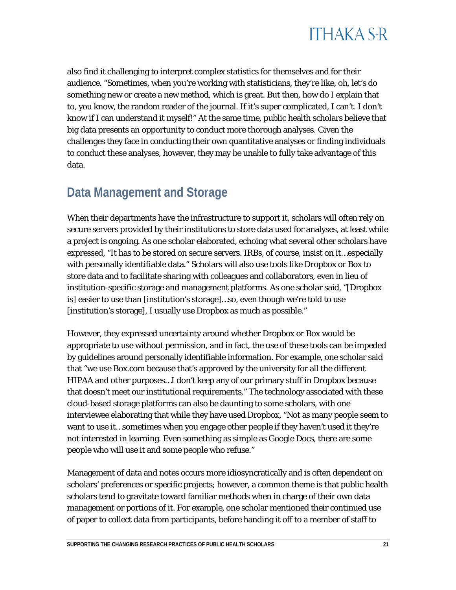

also find it challenging to interpret complex statistics for themselves and for their audience. "Sometimes, when you're working with statisticians, they're like, oh, let's do something new or create a new method, which is great. But then, how do I explain that to, you know, the random reader of the journal. If it's super complicated, I can't. I don't know if I can understand it myself!" At the same time, public health scholars believe that big data presents an opportunity to conduct more thorough analyses. Given the challenges they face in conducting their own quantitative analyses or finding individuals to conduct these analyses, however, they may be unable to fully take advantage of this data.

#### **Data Management and Storage**

When their departments have the infrastructure to support it, scholars will often rely on secure servers provided by their institutions to store data used for analyses, at least while a project is ongoing. As one scholar elaborated, echoing what several other scholars have expressed, "It has to be stored on secure servers. IRBs, of course, insist on it…especially with personally identifiable data." Scholars will also use tools like Dropbox or Box to store data and to facilitate sharing with colleagues and collaborators, even in lieu of institution-specific storage and management platforms. As one scholar said, "[Dropbox is] easier to use than [institution's storage]…so, even though we're told to use [institution's storage], I usually use Dropbox as much as possible."

However, they expressed uncertainty around whether Dropbox or Box would be appropriate to use without permission, and in fact, the use of these tools can be impeded by guidelines around personally identifiable information. For example, one scholar said that "we use Box.com because that's approved by the university for all the different HIPAA and other purposes…I don't keep any of our primary stuff in Dropbox because that doesn't meet our institutional requirements." The technology associated with these cloud-based storage platforms can also be daunting to some scholars, with one interviewee elaborating that while they have used Dropbox, "Not as many people seem to want to use it…sometimes when you engage other people if they haven't used it they're not interested in learning. Even something as simple as Google Docs, there are some people who will use it and some people who refuse."

Management of data and notes occurs more idiosyncratically and is often dependent on scholars' preferences or specific projects; however, a common theme is that public health scholars tend to gravitate toward familiar methods when in charge of their own data management or portions of it. For example, one scholar mentioned their continued use of paper to collect data from participants, before handing it off to a member of staff to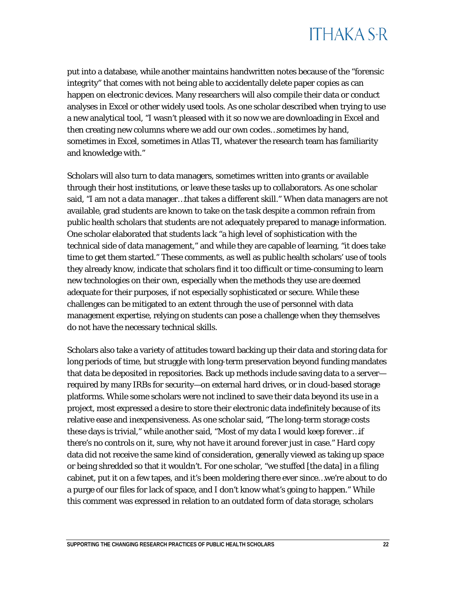

put into a database, while another maintains handwritten notes because of the "forensic integrity" that comes with not being able to accidentally delete paper copies as can happen on electronic devices. Many researchers will also compile their data or conduct analyses in Excel or other widely used tools. As one scholar described when trying to use a new analytical tool, "I wasn't pleased with it so now we are downloading in Excel and then creating new columns where we add our own codes…sometimes by hand, sometimes in Excel, sometimes in Atlas TI, whatever the research team has familiarity and knowledge with."

Scholars will also turn to data managers, sometimes written into grants or available through their host institutions, or leave these tasks up to collaborators. As one scholar said, "I am not a data manager…that takes a different skill." When data managers are not available, grad students are known to take on the task despite a common refrain from public health scholars that students are not adequately prepared to manage information. One scholar elaborated that students lack "a high level of sophistication with the technical side of data management," and while they are capable of learning, "it does take time to get them started." These comments, as well as public health scholars' use of tools they already know, indicate that scholars find it too difficult or time-consuming to learn new technologies on their own, especially when the methods they use are deemed adequate for their purposes, if not especially sophisticated or secure. While these challenges can be mitigated to an extent through the use of personnel with data management expertise, relying on students can pose a challenge when they themselves do not have the necessary technical skills.

Scholars also take a variety of attitudes toward backing up their data and storing data for long periods of time, but struggle with long-term preservation beyond funding mandates that data be deposited in repositories. Back up methods include saving data to a server required by many IRBs for security—on external hard drives, or in cloud-based storage platforms. While some scholars were not inclined to save their data beyond its use in a project, most expressed a desire to store their electronic data indefinitely because of its relative ease and inexpensiveness. As one scholar said, "The long-term storage costs these days is trivial," while another said, "Most of my data I would keep forever…if there's no controls on it, sure, why not have it around forever just in case." Hard copy data did not receive the same kind of consideration, generally viewed as taking up space or being shredded so that it wouldn't. For one scholar, "we stuffed [the data] in a filing cabinet, put it on a few tapes, and it's been moldering there ever since…we're about to do a purge of our files for lack of space, and I don't know what's going to happen." While this comment was expressed in relation to an outdated form of data storage, scholars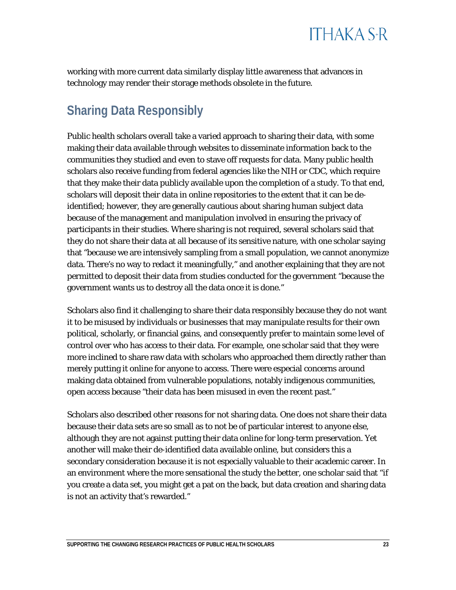

working with more current data similarly display little awareness that advances in technology may render their storage methods obsolete in the future.

#### **Sharing Data Responsibly**

Public health scholars overall take a varied approach to sharing their data, with some making their data available through websites to disseminate information back to the communities they studied and even to stave off requests for data. Many public health scholars also receive funding from federal agencies like the NIH or CDC, which require that they make their data publicly available upon the completion of a study. To that end, scholars will deposit their data in online repositories to the extent that it can be deidentified; however, they are generally cautious about sharing human subject data because of the management and manipulation involved in ensuring the privacy of participants in their studies. Where sharing is not required, several scholars said that they do not share their data at all because of its sensitive nature, with one scholar saying that "because we are intensively sampling from a small population, we cannot anonymize data. There's no way to redact it meaningfully," and another explaining that they are not permitted to deposit their data from studies conducted for the government "because the government wants us to destroy all the data once it is done."

Scholars also find it challenging to share their data responsibly because they do not want it to be misused by individuals or businesses that may manipulate results for their own political, scholarly, or financial gains, and consequently prefer to maintain some level of control over who has access to their data. For example, one scholar said that they were more inclined to share raw data with scholars who approached them directly rather than merely putting it online for anyone to access. There were especial concerns around making data obtained from vulnerable populations, notably indigenous communities, open access because "their data has been misused in even the recent past."

Scholars also described other reasons for not sharing data. One does not share their data because their data sets are so small as to not be of particular interest to anyone else, although they are not against putting their data online for long-term preservation. Yet another will make their de-identified data available online, but considers this a secondary consideration because it is not especially valuable to their academic career. In an environment where the more sensational the study the better, one scholar said that "if you create a data set, you might get a pat on the back, but data creation and sharing data is not an activity that's rewarded."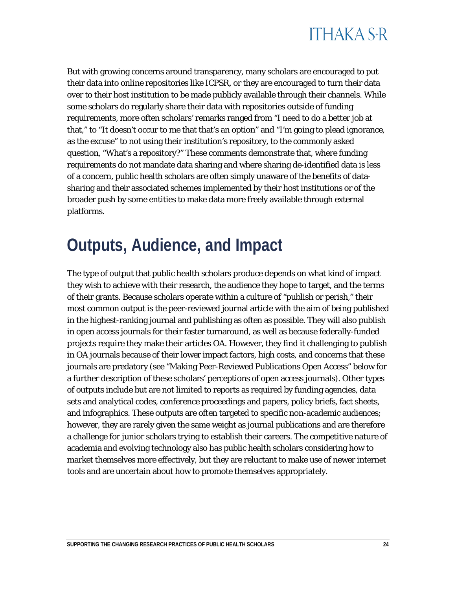

But with growing concerns around transparency, many scholars are encouraged to put their data into online repositories like ICPSR, or they are encouraged to turn their data over to their host institution to be made publicly available through their channels. While some scholars do regularly share their data with repositories outside of funding requirements, more often scholars' remarks ranged from "I need to do a better job at that," to "It doesn't occur to me that that's an option" and "I'm going to plead ignorance, as the excuse" to not using their institution's repository, to the commonly asked question, "What's a repository?" These comments demonstrate that, where funding requirements do not mandate data sharing and where sharing de-identified data is less of a concern, public health scholars are often simply unaware of the benefits of datasharing and their associated schemes implemented by their host institutions or of the broader push by some entities to make data more freely available through external platforms.

### <span id="page-24-0"></span>**Outputs, Audience, and Impact**

The type of output that public health scholars produce depends on what kind of impact they wish to achieve with their research, the audience they hope to target, and the terms of their grants. Because scholars operate within a culture of "publish or perish," their most common output is the peer-reviewed journal article with the aim of being published in the highest-ranking journal and publishing as often as possible. They will also publish in open access journals for their faster turnaround, as well as because federally-funded projects require they make their articles OA. However, they find it challenging to publish in OA journals because of their lower impact factors, high costs, and concerns that these journals are predatory (see "Making Peer-Reviewed Publications Open Access" below for a further description of these scholars' perceptions of open access journals). Other types of outputs include but are not limited to reports as required by funding agencies, data sets and analytical codes, conference proceedings and papers, policy briefs, fact sheets, and infographics. These outputs are often targeted to specific non-academic audiences; however, they are rarely given the same weight as journal publications and are therefore a challenge for junior scholars trying to establish their careers. The competitive nature of academia and evolving technology also has public health scholars considering how to market themselves more effectively, but they are reluctant to make use of newer internet tools and are uncertain about how to promote themselves appropriately.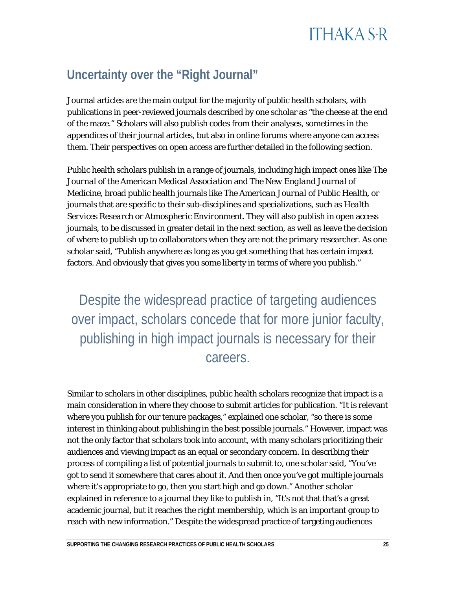### **Uncertainty over the "Right Journal"**

Journal articles are the main output for the majority of public health scholars, with publications in peer-reviewed journals described by one scholar as "the cheese at the end of the maze." Scholars will also publish codes from their analyses, sometimes in the appendices of their journal articles, but also in online forums where anyone can access them. Their perspectives on open access are further detailed in the following section.

Public health scholars publish in a range of journals, including high impact ones like *The Journal of the American Medical Association* and *The New England Journal of Medicine,* broad public health journals like *The American Journal of Public Health,* or journals that are specific to their sub-disciplines and specializations, such as *Health Services Research* or *Atmospheric Environment.* They will also publish in open access journals, to be discussed in greater detail in the next section, as well as leave the decision of where to publish up to collaborators when they are not the primary researcher. As one scholar said, "Publish anywhere as long as you get something that has certain impact factors. And obviously that gives you some liberty in terms of where you publish."

Despite the widespread practice of targeting audiences over impact, scholars concede that for more junior faculty, publishing in high impact journals is necessary for their careers.

Similar to scholars in other disciplines, public health scholars recognize that impact is a main consideration in where they choose to submit articles for publication. "It is relevant where you publish for our tenure packages," explained one scholar, "so there is some interest in thinking about publishing in the best possible journals." However, impact was not the only factor that scholars took into account, with many scholars prioritizing their audiences and viewing impact as an equal or secondary concern. In describing their process of compiling a list of potential journals to submit to, one scholar said, "You've got to send it somewhere that cares about it. And then once you've got multiple journals where it's appropriate to go, then you start high and go down." Another scholar explained in reference to a journal they like to publish in, "It's not that that's a great academic journal, but it reaches the right membership, which is an important group to reach with new information." Despite the widespread practice of targeting audiences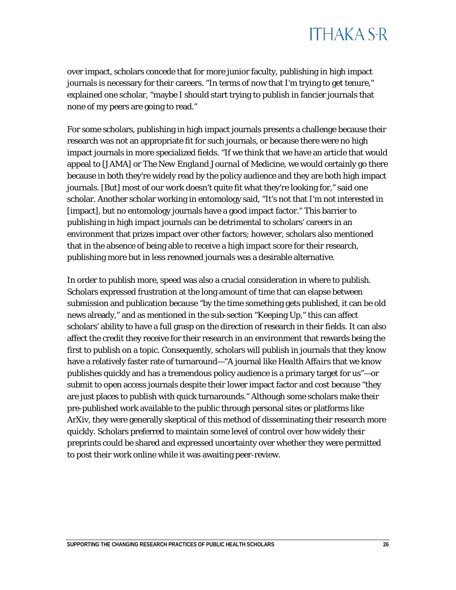over impact, scholars concede that for more junior faculty, publishing in high impact journals is necessary for their careers. "In terms of now that I'm trying to get tenure," explained one scholar, "maybe I should start trying to publish in fancier journals that none of my peers are going to read."

For some scholars, publishing in high impact journals presents a challenge because their research was not an appropriate fit for such journals, or because there were no high impact journals in more specialized fields. "If we think that we have an article that would appeal to *[JAMA]* or *The New England Journal of Medicine,* we would certainly go there because in both they're widely read by the policy audience and they are both high impact journals. [But] most of our work doesn't quite fit what they're looking for," said one scholar. Another scholar working in entomology said, "It's not that I'm not interested in [impact], but no entomology journals have a good impact factor." This barrier to publishing in high impact journals can be detrimental to scholars' careers in an environment that prizes impact over other factors; however, scholars also mentioned that in the absence of being able to receive a high impact score for their research, publishing more but in less renowned journals was a desirable alternative.

In order to publish more, speed was also a crucial consideration in where to publish. Scholars expressed frustration at the long amount of time that can elapse between submission and publication because "by the time something gets published, it can be old news already," and as mentioned in the sub-section "Keeping Up," this can affect scholars' ability to have a full grasp on the direction of research in their fields. It can also affect the credit they receive for their research in an environment that rewards being the first to publish on a topic. Consequently, scholars will publish in journals that they know have a relatively faster rate of turnaround—"A journal like *Health Affairs* that we know publishes quickly and has a tremendous policy audience is a primary target for us"—or submit to open access journals despite their lower impact factor and cost because "they are just places to publish with quick turnarounds." Although some scholars make their pre-published work available to the public through personal sites or platforms like ArXiv, they were generally skeptical of this method of disseminating their research more quickly. Scholars preferred to maintain some level of control over how widely their preprints could be shared and expressed uncertainty over whether they were permitted to post their work online while it was awaiting peer-review.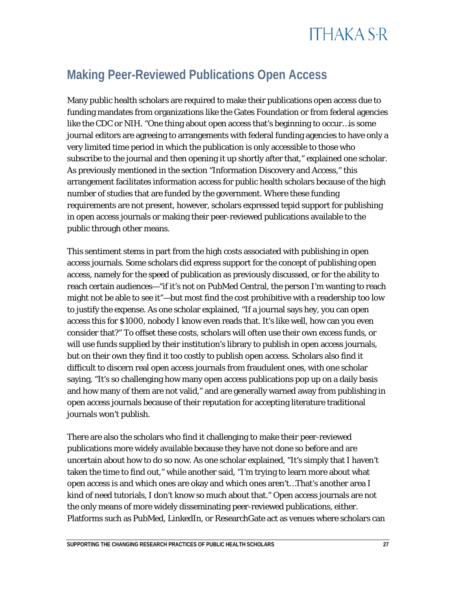### **Making Peer-Reviewed Publications Open Access**

Many public health scholars are required to make their publications open access due to funding mandates from organizations like the Gates Foundation or from federal agencies like the CDC or NIH. "One thing about open access that's beginning to occur…is some journal editors are agreeing to arrangements with federal funding agencies to have only a very limited time period in which the publication is only accessible to those who subscribe to the journal and then opening it up shortly after that," explained one scholar. As previously mentioned in the section "Information Discovery and Access," this arrangement facilitates information access for public health scholars because of the high number of studies that are funded by the government. Where these funding requirements are not present, however, scholars expressed tepid support for publishing in open access journals or making their peer-reviewed publications available to the public through other means.

This sentiment stems in part from the high costs associated with publishing in open access journals. Some scholars did express support for the concept of publishing open access, namely for the speed of publication as previously discussed, or for the ability to reach certain audiences—"if it's not on PubMed Central, the person I'm wanting to reach might not be able to see it"—but most find the cost prohibitive with a readership too low to justify the expense. As one scholar explained, "If a journal says hey, you can open access this for \$1000, nobody I know even reads that. It's like well, how can you even consider that?" To offset these costs, scholars will often use their own excess funds, or will use funds supplied by their institution's library to publish in open access journals, but on their own they find it too costly to publish open access. Scholars also find it difficult to discern real open access journals from fraudulent ones, with one scholar saying, "It's so challenging how many open access publications pop up on a daily basis and how many of them are not valid," and are generally warned away from publishing in open access journals because of their reputation for accepting literature traditional journals won't publish.

There are also the scholars who find it challenging to make their peer-reviewed publications more widely available because they have not done so before and are uncertain about how to do so now. As one scholar explained, "It's simply that I haven't taken the time to find out," while another said, "I'm trying to learn more about what open access is and which ones are okay and which ones aren't…That's another area I kind of need tutorials, I don't know so much about that." Open access journals are not the only means of more widely disseminating peer-reviewed publications, either. Platforms such as PubMed, LinkedIn, or ResearchGate act as venues where scholars can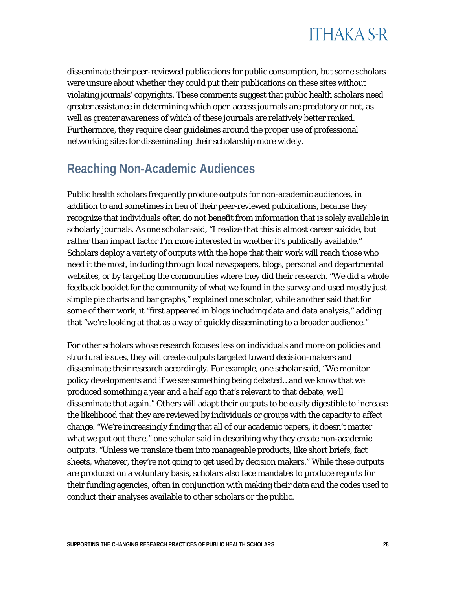

disseminate their peer-reviewed publications for public consumption, but some scholars were unsure about whether they could put their publications on these sites without violating journals' copyrights. These comments suggest that public health scholars need greater assistance in determining which open access journals are predatory or not, as well as greater awareness of which of these journals are relatively better ranked. Furthermore, they require clear guidelines around the proper use of professional networking sites for disseminating their scholarship more widely.

#### **Reaching Non-Academic Audiences**

Public health scholars frequently produce outputs for non-academic audiences, in addition to and sometimes in lieu of their peer-reviewed publications, because they recognize that individuals often do not benefit from information that is solely available in scholarly journals. As one scholar said, "I realize that this is almost career suicide, but rather than impact factor I'm more interested in whether it's publically available." Scholars deploy a variety of outputs with the hope that their work will reach those who need it the most, including through local newspapers, blogs, personal and departmental websites, or by targeting the communities where they did their research. "We did a whole feedback booklet for the community of what we found in the survey and used mostly just simple pie charts and bar graphs," explained one scholar, while another said that for some of their work, it "first appeared in blogs including data and data analysis," adding that "we're looking at that as a way of quickly disseminating to a broader audience."

For other scholars whose research focuses less on individuals and more on policies and structural issues, they will create outputs targeted toward decision-makers and disseminate their research accordingly. For example, one scholar said, "We monitor policy developments and if we see something being debated…and we know that we produced something a year and a half ago that's relevant to that debate, we'll disseminate that again." Others will adapt their outputs to be easily digestible to increase the likelihood that they are reviewed by individuals or groups with the capacity to affect change. "We're increasingly finding that all of our academic papers, it doesn't matter what we put out there," one scholar said in describing why they create non-academic outputs. "Unless we translate them into manageable products, like short briefs, fact sheets, whatever, they're not going to get used by decision makers." While these outputs are produced on a voluntary basis, scholars also face mandates to produce reports for their funding agencies, often in conjunction with making their data and the codes used to conduct their analyses available to other scholars or the public.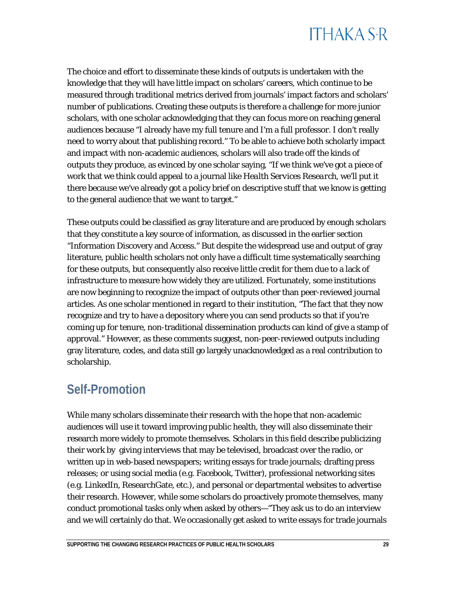## **ITHAKA S+R**

The choice and effort to disseminate these kinds of outputs is undertaken with the knowledge that they will have little impact on scholars' careers, which continue to be measured through traditional metrics derived from journals' impact factors and scholars' number of publications. Creating these outputs is therefore a challenge for more junior scholars, with one scholar acknowledging that they can focus more on reaching general audiences because "I already have my full tenure and I'm a full professor. I don't really need to worry about that publishing record." To be able to achieve both scholarly impact and impact with non-academic audiences, scholars will also trade off the kinds of outputs they produce, as evinced by one scholar saying, "If we think we've got a piece of work that we think could appeal to a journal like *Health Services Research*, we'll put it there because we've already got a policy brief on descriptive stuff that we know is getting to the general audience that we want to target."

These outputs could be classified as gray literature and are produced by enough scholars that they constitute a key source of information, as discussed in the earlier section "Information Discovery and Access." But despite the widespread use and output of gray literature, public health scholars not only have a difficult time systematically searching for these outputs, but consequently also receive little credit for them due to a lack of infrastructure to measure how widely they are utilized. Fortunately, some institutions are now beginning to recognize the impact of outputs other than peer-reviewed journal articles. As one scholar mentioned in regard to their institution, "The fact that they now recognize and try to have a depository where you can send products so that if you're coming up for tenure, non-traditional dissemination products can kind of give a stamp of approval." However, as these comments suggest, non-peer-reviewed outputs including gray literature, codes, and data still go largely unacknowledged as a real contribution to scholarship.

#### **Self-Promotion**

While many scholars disseminate their research with the hope that non-academic audiences will use it toward improving public health, they will also disseminate their research more widely to promote themselves. Scholars in this field describe publicizing their work by giving interviews that may be televised, broadcast over the radio, or written up in web-based newspapers; writing essays for trade journals; drafting press releases; or using social media (e.g. Facebook, Twitter), professional networking sites (e.g. LinkedIn, ResearchGate, etc.), and personal or departmental websites to advertise their research. However, while some scholars do proactively promote themselves, many conduct promotional tasks only when asked by others—"They ask us to do an interview and we will certainly do that. We occasionally get asked to write essays for trade journals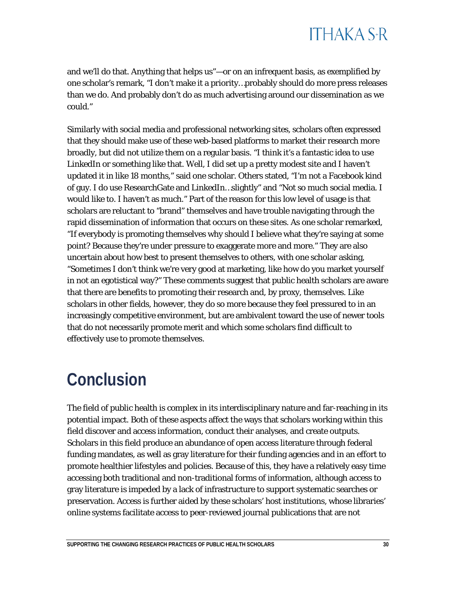and we'll do that. Anything that helps us"—or on an infrequent basis, as exemplified by one scholar's remark, "I don't make it a priority…probably should do more press releases than we do. And probably don't do as much advertising around our dissemination as we could."

Similarly with social media and professional networking sites, scholars often expressed that they should make use of these web-based platforms to market their research more broadly, but did not utilize them on a regular basis. "I think it's a fantastic idea to use LinkedIn or something like that. Well, I did set up a pretty modest site and I haven't updated it in like 18 months," said one scholar. Others stated, "I'm not a Facebook kind of guy. I do use ResearchGate and LinkedIn…slightly" and "Not so much social media. I would like to. I haven't as much." Part of the reason for this low level of usage is that scholars are reluctant to "brand" themselves and have trouble navigating through the rapid dissemination of information that occurs on these sites. As one scholar remarked, "If everybody is promoting themselves why should I believe what they're saying at some point? Because they're under pressure to exaggerate more and more." They are also uncertain about how best to present themselves to others, with one scholar asking, "Sometimes I don't think we're very good at marketing, like how do you market yourself in not an egotistical way?" These comments suggest that public health scholars are aware that there are benefits to promoting their research and, by proxy, themselves. Like scholars in other fields, however, they do so more because they feel pressured to in an increasingly competitive environment, but are ambivalent toward the use of newer tools that do not necessarily promote merit and which some scholars find difficult to effectively use to promote themselves.

## <span id="page-30-0"></span>**Conclusion**

The field of public health is complex in its interdisciplinary nature and far-reaching in its potential impact. Both of these aspects affect the ways that scholars working within this field discover and access information, conduct their analyses, and create outputs. Scholars in this field produce an abundance of open access literature through federal funding mandates, as well as gray literature for their funding agencies and in an effort to promote healthier lifestyles and policies. Because of this, they have a relatively easy time accessing both traditional and non-traditional forms of information, although access to gray literature is impeded by a lack of infrastructure to support systematic searches or preservation. Access is further aided by these scholars' host institutions, whose libraries' online systems facilitate access to peer-reviewed journal publications that are not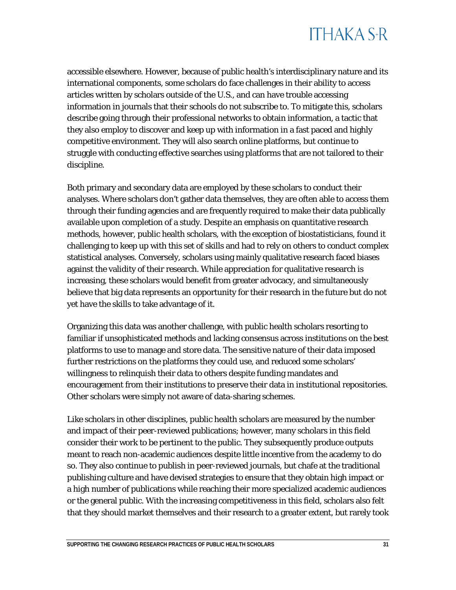accessible elsewhere. However, because of public health's interdisciplinary nature and its international components, some scholars do face challenges in their ability to access articles written by scholars outside of the U.S., and can have trouble accessing information in journals that their schools do not subscribe to. To mitigate this, scholars describe going through their professional networks to obtain information, a tactic that they also employ to discover and keep up with information in a fast paced and highly competitive environment. They will also search online platforms, but continue to struggle with conducting effective searches using platforms that are not tailored to their discipline.

Both primary and secondary data are employed by these scholars to conduct their analyses. Where scholars don't gather data themselves, they are often able to access them through their funding agencies and are frequently required to make their data publically available upon completion of a study. Despite an emphasis on quantitative research methods, however, public health scholars, with the exception of biostatisticians, found it challenging to keep up with this set of skills and had to rely on others to conduct complex statistical analyses. Conversely, scholars using mainly qualitative research faced biases against the validity of their research. While appreciation for qualitative research is increasing, these scholars would benefit from greater advocacy, and simultaneously believe that big data represents an opportunity for their research in the future but do not yet have the skills to take advantage of it.

Organizing this data was another challenge, with public health scholars resorting to familiar if unsophisticated methods and lacking consensus across institutions on the best platforms to use to manage and store data. The sensitive nature of their data imposed further restrictions on the platforms they could use, and reduced some scholars' willingness to relinquish their data to others despite funding mandates and encouragement from their institutions to preserve their data in institutional repositories. Other scholars were simply not aware of data-sharing schemes.

Like scholars in other disciplines, public health scholars are measured by the number and impact of their peer-reviewed publications; however, many scholars in this field consider their work to be pertinent to the public. They subsequently produce outputs meant to reach non-academic audiences despite little incentive from the academy to do so. They also continue to publish in peer-reviewed journals, but chafe at the traditional publishing culture and have devised strategies to ensure that they obtain high impact or a high number of publications while reaching their more specialized academic audiences or the general public. With the increasing competitiveness in this field, scholars also felt that they should market themselves and their research to a greater extent, but rarely took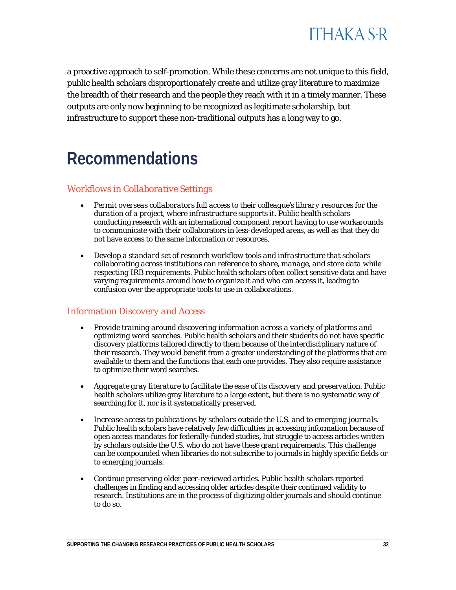

a proactive approach to self-promotion. While these concerns are not unique to this field, public health scholars disproportionately create and utilize gray literature to maximize the breadth of their research and the people they reach with it in a timely manner. These outputs are only now beginning to be recognized as legitimate scholarship, but infrastructure to support these non-traditional outputs has a long way to go.

### <span id="page-32-0"></span>**Recommendations**

#### *Workflows in Collaborative Settings*

- *Permit overseas collaborators full access to their colleague's library resources for the duration of a project, where infrastructure supports it.* Public health scholars conducting research with an international component report having to use workarounds to communicate with their collaborators in less-developed areas, as well as that they do not have access to the same information or resources.
- *Develop a standard set of research workflow tools and infrastructure that scholars collaborating across institutions can reference to share, manage, and store data while respecting IRB requirements.* Public health scholars often collect sensitive data and have varying requirements around how to organize it and who can access it, leading to confusion over the appropriate tools to use in collaborations.

#### *Information Discovery and Access*

- *Provide training around discovering information across a variety of platforms and optimizing word searches.* Public health scholars and their students do not have specific discovery platforms tailored directly to them because of the interdisciplinary nature of their research. They would benefit from a greater understanding of the platforms that are available to them and the functions that each one provides. They also require assistance to optimize their word searches.
- *Aggregate gray literature to facilitate the ease of its discovery and preservation.* Public health scholars utilize gray literature to a large extent, but there is no systematic way of searching for it, nor is it systematically preserved.
- *Increase access to publications by scholars outside the U.S. and to emerging journals.* Public health scholars have relatively few difficulties in accessing information because of open access mandates for federally-funded studies, but struggle to access articles written by scholars outside the U.S. who do not have these grant requirements. This challenge can be compounded when libraries do not subscribe to journals in highly specific fields or to emerging journals.
- *Continue preserving older peer-reviewed articles.* Public health scholars reported challenges in finding and accessing older articles despite their continued validity to research. Institutions are in the process of digitizing older journals and should continue to do so.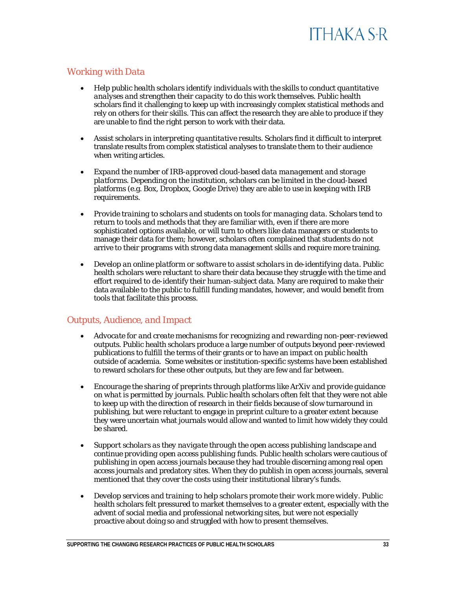#### *Working with Data*

- *Help public health scholars identify individuals with the skills to conduct quantitative analyses and strengthen their capacity to do this work themselves.* Public health scholars find it challenging to keep up with increasingly complex statistical methods and rely on others for their skills. This can affect the research they are able to produce if they are unable to find the right person to work with their data.
- *Assist scholars in interpreting quantitative results.* Scholars find it difficult to interpret translate results from complex statistical analyses to translate them to their audience when writing articles.
- *Expand the number of IRB-approved cloud-based data management and storage platforms.* Depending on the institution, scholars can be limited in the cloud-based platforms (e.g. Box, Dropbox, Google Drive) they are able to use in keeping with IRB requirements.
- *Provide training to scholars and students on tools for managing data.* Scholars tend to return to tools and methods that they are familiar with, even if there are more sophisticated options available, or will turn to others like data managers or students to manage their data for them; however, scholars often complained that students do not arrive to their programs with strong data management skills and require more training.
- *Develop an online platform or software to assist scholars in de-identifying data.* Public health scholars were reluctant to share their data because they struggle with the time and effort required to de-identify their human-subject data. Many are required to make their data available to the public to fulfill funding mandates, however, and would benefit from tools that facilitate this process.

#### *Outputs, Audience, and Impact*

- *Advocate for and create mechanisms for recognizing and rewarding non-peer-reviewed outputs.* Public health scholars produce a large number of outputs beyond peer-reviewed publications to fulfill the terms of their grants or to have an impact on public health outside of academia. Some websites or institution-specific systems have been established to reward scholars for these other outputs, but they are few and far between.
- *Encourage the sharing of preprints through platforms like ArXiv and provide guidance on what is permitted by journals.* Public health scholars often felt that they were not able to keep up with the direction of research in their fields because of slow turnaround in publishing, but were reluctant to engage in preprint culture to a greater extent because they were uncertain what journals would allow and wanted to limit how widely they could be shared.
- *Support scholars as they navigate through the open access publishing landscape and continue providing open access publishing funds.* Public health scholars were cautious of publishing in open access journals because they had trouble discerning among real open access journals and predatory sites. When they do publish in open access journals, several mentioned that they cover the costs using their institutional library's funds.
- *Develop services and training to help scholars promote their work more widely.* Public health scholars felt pressured to market themselves to a greater extent, especially with the advent of social media and professional networking sites, but were not especially proactive about doing so and struggled with how to present themselves.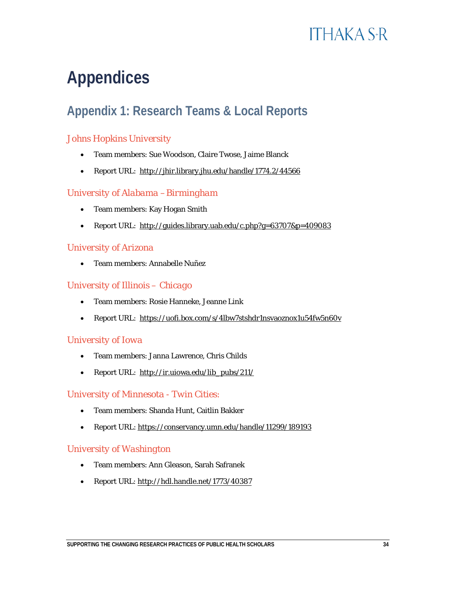## <span id="page-34-0"></span>**Appendices**

### **Appendix 1: Research Teams & Local Reports**

#### *Johns Hopkins University*

- Team members: Sue Woodson, Claire Twose, Jaime Blanck
- Report URL: <http://jhir.library.jhu.edu/handle/1774.2/44566>

#### *University of Alabama –Birmingham*

- Team members: Kay Hogan Smith
- Report URL: <http://guides.library.uab.edu/c.php?g=63707&p=409083>

#### *University of Arizona*

• Team members: Annabelle Nuñez

#### *University of Illinois – Chicago*

- Team members: Rosie Hanneke, Jeanne Link
- Report URL: <https://uofi.box.com/s/4lbw7stshdr1nsvaoznox1u54fw5n60v>

#### *University of Iowa*

- Team members: Janna Lawrence, Chris Childs
- Report URL: [http://ir.uiowa.edu/lib\\_pubs/211/](http://ir.uiowa.edu/lib_pubs/211/)

#### *University of Minnesota - Twin Cities:*

- Team members: Shanda Hunt, Caitlin Bakker
- Report URL:<https://conservancy.umn.edu/handle/11299/189193>

#### *University of Washington*

- Team members: Ann Gleason, Sarah Safranek
- Report URL: <http://hdl.handle.net/1773/40387>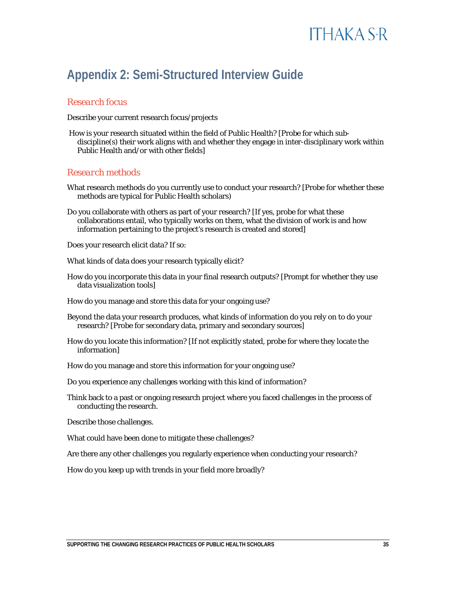#### **Appendix 2: Semi-Structured Interview Guide**

#### *Research focus*

Describe your current research focus/projects

How is your research situated within the field of Public Health? [Probe for which subdiscipline(s) their work aligns with and whether they engage in inter-disciplinary work within Public Health and/or with other fields]

#### *Research methods*

- What research methods do you currently use to conduct your research? [Probe for whether these methods are typical for Public Health scholars)
- Do you collaborate with others as part of your research? [If yes, probe for what these collaborations entail, who typically works on them, what the division of work is and how information pertaining to the project's research is created and stored]

Does your research elicit data? If so:

What kinds of data does your research typically elicit?

How do you incorporate this data in your final research outputs? [Prompt for whether they use data visualization tools]

How do you manage and store this data for your ongoing use?

- Beyond the data your research produces, what kinds of information do you rely on to do your research? [Probe for secondary data, primary and secondary sources]
- How do you locate this information? [If not explicitly stated, probe for where they locate the information]
- How do you manage and store this information for your ongoing use?
- Do you experience any challenges working with this kind of information?
- Think back to a past or ongoing research project where you faced challenges in the process of conducting the research.
- Describe those challenges.

What could have been done to mitigate these challenges?

Are there any other challenges you regularly experience when conducting your research?

How do you keep up with trends in your field more broadly?